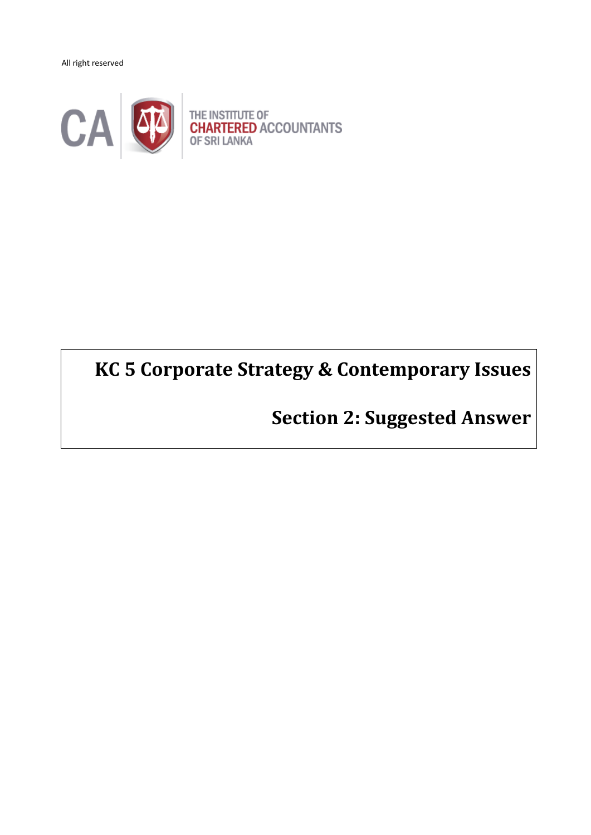All right reserved



# **KC 5 Corporate Strategy & Contemporary Issues**

**Section 2: Suggested Answer**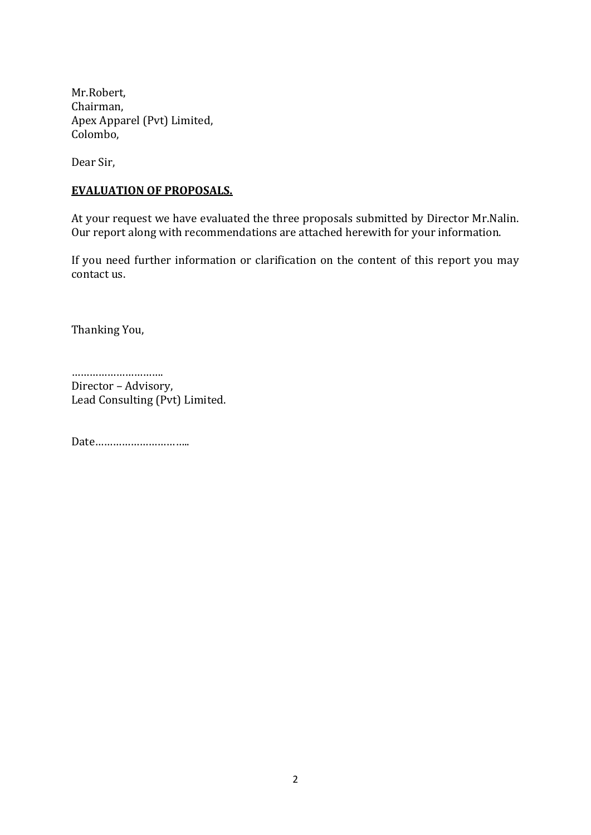Mr.Robert, Chairman, Apex Apparel (Pvt) Limited, Colombo,

Dear Sir,

#### **EVALUATION OF PROPOSALS.**

At your request we have evaluated the three proposals submitted by Director Mr.Nalin. Our report along with recommendations are attached herewith for your information.

If you need further information or clarification on the content of this report you may contact us.

Thanking You,

………………………… Director – Advisory, Lead Consulting (Pvt) Limited.

Date…………………………..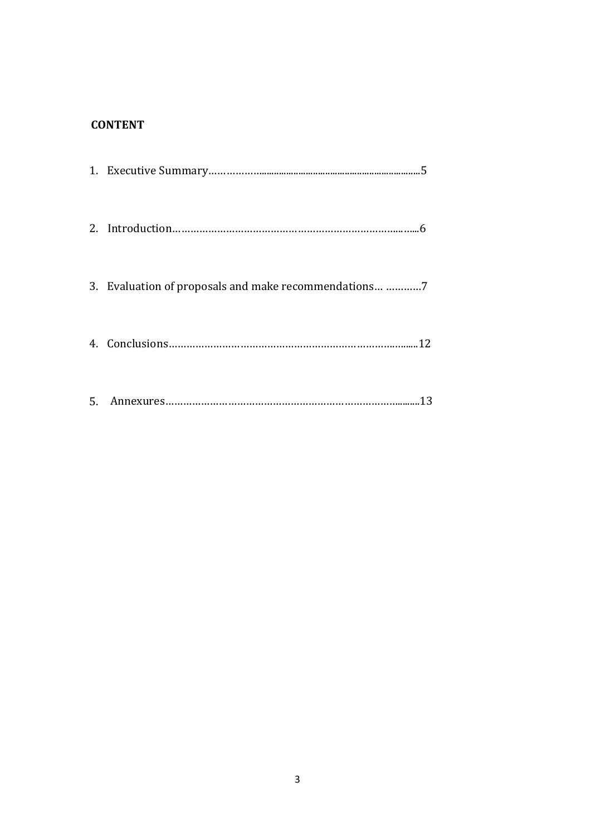# **CONTENT**

| 3. Evaluation of proposals and make recommendations 7 |
|-------------------------------------------------------|
|                                                       |
|                                                       |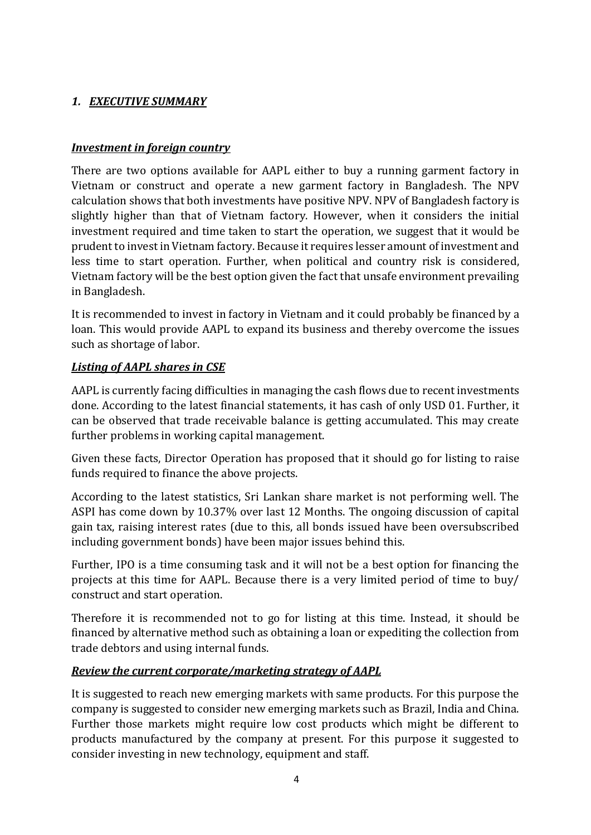# *1. EXECUTIVE SUMMARY*

#### *Investment in foreign country*

There are two options available for AAPL either to buy a running garment factory in Vietnam or construct and operate a new garment factory in Bangladesh. The NPV calculation shows that both investments have positive NPV. NPV of Bangladesh factory is slightly higher than that of Vietnam factory. However, when it considers the initial investment required and time taken to start the operation, we suggest that it would be prudent to invest in Vietnam factory. Because it requires lesser amount of investment and less time to start operation. Further, when political and country risk is considered, Vietnam factory will be the best option given the fact that unsafe environment prevailing in Bangladesh.

It is recommended to invest in factory in Vietnam and it could probably be financed by a loan. This would provide AAPL to expand its business and thereby overcome the issues such as shortage of labor.

#### *Listing of AAPL shares in CSE*

AAPL is currently facing difficulties in managing the cash flows due to recent investments done. According to the latest financial statements, it has cash of only USD 01. Further, it can be observed that trade receivable balance is getting accumulated. This may create further problems in working capital management.

Given these facts, Director Operation has proposed that it should go for listing to raise funds required to finance the above projects.

According to the latest statistics, Sri Lankan share market is not performing well. The ASPI has come down by 10.37% over last 12 Months. The ongoing discussion of capital gain tax, raising interest rates (due to this, all bonds issued have been oversubscribed including government bonds) have been major issues behind this.

Further, IPO is a time consuming task and it will not be a best option for financing the projects at this time for AAPL. Because there is a very limited period of time to buy/ construct and start operation.

Therefore it is recommended not to go for listing at this time. Instead, it should be financed by alternative method such as obtaining a loan or expediting the collection from trade debtors and using internal funds.

#### *Review the current corporate/marketing strategy of AAPL*

It is suggested to reach new emerging markets with same products. For this purpose the company is suggested to consider new emerging markets such as Brazil, India and China. Further those markets might require low cost products which might be different to products manufactured by the company at present. For this purpose it suggested to consider investing in new technology, equipment and staff.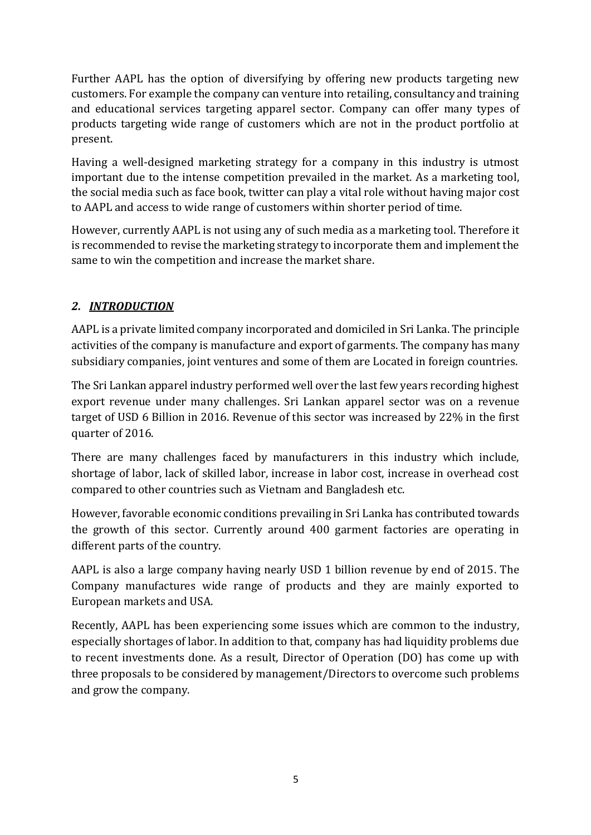Further AAPL has the option of diversifying by offering new products targeting new customers. For example the company can venture into retailing, consultancy and training and educational services targeting apparel sector. Company can offer many types of products targeting wide range of customers which are not in the product portfolio at present.

Having a well-designed marketing strategy for a company in this industry is utmost important due to the intense competition prevailed in the market. As a marketing tool, the social media such as face book, twitter can play a vital role without having major cost to AAPL and access to wide range of customers within shorter period of time.

However, currently AAPL is not using any of such media as a marketing tool. Therefore it is recommended to revise the marketing strategy to incorporate them and implement the same to win the competition and increase the market share.

# *2. INTRODUCTION*

AAPL is a private limited company incorporated and domiciled in Sri Lanka. The principle activities of the company is manufacture and export of garments. The company has many subsidiary companies, joint ventures and some of them are Located in foreign countries.

The Sri Lankan apparel industry performed well over the last few years recording highest export revenue under many challenges. Sri Lankan apparel sector was on a revenue target of USD 6 Billion in 2016. Revenue of this sector was increased by 22% in the first quarter of 2016.

There are many challenges faced by manufacturers in this industry which include, shortage of labor, lack of skilled labor, increase in labor cost, increase in overhead cost compared to other countries such as Vietnam and Bangladesh etc.

However, favorable economic conditions prevailing in Sri Lanka has contributed towards the growth of this sector. Currently around 400 garment factories are operating in different parts of the country.

AAPL is also a large company having nearly USD 1 billion revenue by end of 2015. The Company manufactures wide range of products and they are mainly exported to European markets and USA.

Recently, AAPL has been experiencing some issues which are common to the industry, especially shortages of labor. In addition to that, company has had liquidity problems due to recent investments done. As a result, Director of Operation (DO) has come up with three proposals to be considered by management/Directors to overcome such problems and grow the company.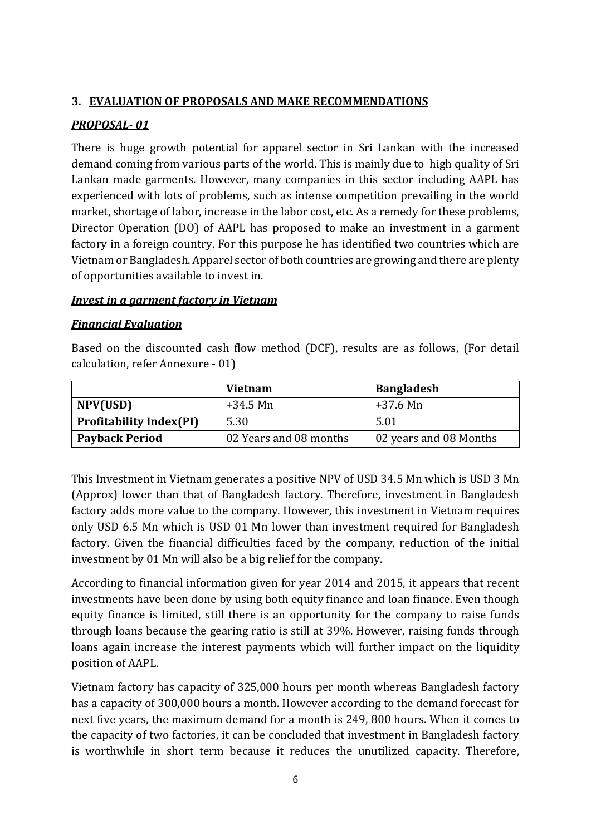#### **3. EVALUATION OF PROPOSALS AND MAKE RECOMMENDATIONS**

#### *PROPOSAL- 01*

There is huge growth potential for apparel sector in Sri Lankan with the increased demand coming from various parts of the world. This is mainly due to high quality of Sri Lankan made garments. However, many companies in this sector including AAPL has experienced with lots of problems, such as intense competition prevailing in the world market, shortage of labor, increase in the labor cost, etc. As a remedy for these problems, Director Operation (DO) of AAPL has proposed to make an investment in a garment factory in a foreign country. For this purpose he has identified two countries which are Vietnam or Bangladesh. Apparel sector of both countries are growing and there are plenty of opportunities available to invest in.

#### *Invest in a garment factory in Vietnam*

#### *Financial Evaluation*

Based on the discounted cash flow method (DCF), results are as follows, (For detail calculation, refer Annexure - 01)

|                                | <b>Vietnam</b>         | <b>Bangladesh</b>      |  |  |
|--------------------------------|------------------------|------------------------|--|--|
| NPV(USD)                       | $+34.5$ Mn             | $+37.6$ Mn             |  |  |
| <b>Profitability Index(PI)</b> | 5.30                   | 5.01                   |  |  |
| <b>Payback Period</b>          | 02 Years and 08 months | 02 years and 08 Months |  |  |

This Investment in Vietnam generates a positive NPV of USD 34.5 Mn which is USD 3 Mn (Approx) lower than that of Bangladesh factory. Therefore, investment in Bangladesh factory adds more value to the company. However, this investment in Vietnam requires only USD 6.5 Mn which is USD 01 Mn lower than investment required for Bangladesh factory. Given the financial difficulties faced by the company, reduction of the initial investment by 01 Mn will also be a big relief for the company.

According to financial information given for year 2014 and 2015, it appears that recent investments have been done by using both equity finance and loan finance. Even though equity finance is limited, still there is an opportunity for the company to raise funds through loans because the gearing ratio is still at 39%. However, raising funds through loans again increase the interest payments which will further impact on the liquidity position of AAPL.

Vietnam factory has capacity of 325,000 hours per month whereas Bangladesh factory has a capacity of 300,000 hours a month. However according to the demand forecast for next five years, the maximum demand for a month is 249, 800 hours. When it comes to the capacity of two factories, it can be concluded that investment in Bangladesh factory is worthwhile in short term because it reduces the unutilized capacity. Therefore,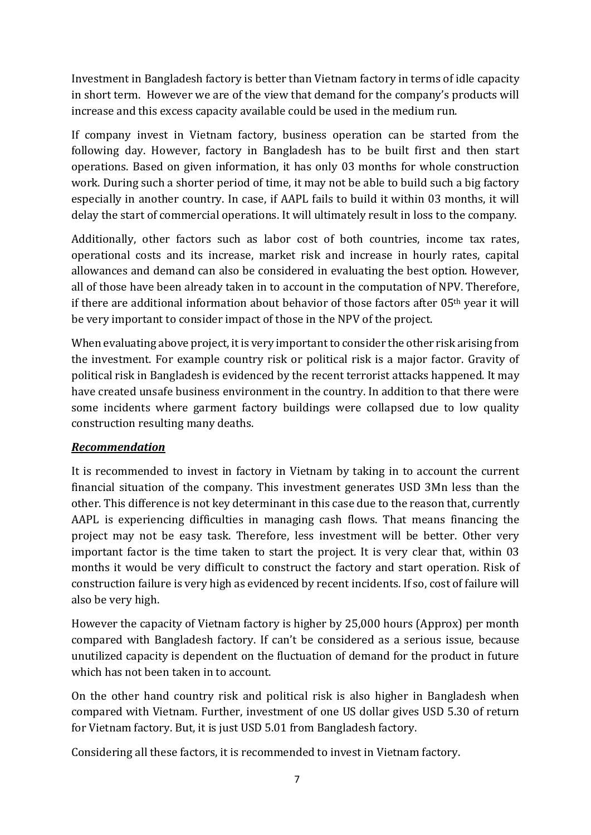Investment in Bangladesh factory is better than Vietnam factory in terms of idle capacity in short term. However we are of the view that demand for the company's products will increase and this excess capacity available could be used in the medium run.

If company invest in Vietnam factory, business operation can be started from the following day. However, factory in Bangladesh has to be built first and then start operations. Based on given information, it has only 03 months for whole construction work. During such a shorter period of time, it may not be able to build such a big factory especially in another country. In case, if AAPL fails to build it within 03 months, it will delay the start of commercial operations. It will ultimately result in loss to the company.

Additionally, other factors such as labor cost of both countries, income tax rates, operational costs and its increase, market risk and increase in hourly rates, capital allowances and demand can also be considered in evaluating the best option. However, all of those have been already taken in to account in the computation of NPV. Therefore, if there are additional information about behavior of those factors after  $05<sup>th</sup>$  year it will be very important to consider impact of those in the NPV of the project.

When evaluating above project, it is very important to consider the other risk arising from the investment. For example country risk or political risk is a major factor. Gravity of political risk in Bangladesh is evidenced by the recent terrorist attacks happened. It may have created unsafe business environment in the country. In addition to that there were some incidents where garment factory buildings were collapsed due to low quality construction resulting many deaths.

#### *Recommendation*

It is recommended to invest in factory in Vietnam by taking in to account the current financial situation of the company. This investment generates USD 3Mn less than the other. This difference is not key determinant in this case due to the reason that, currently AAPL is experiencing difficulties in managing cash flows. That means financing the project may not be easy task. Therefore, less investment will be better. Other very important factor is the time taken to start the project. It is very clear that, within 03 months it would be very difficult to construct the factory and start operation. Risk of construction failure is very high as evidenced by recent incidents. If so, cost of failure will also be very high.

However the capacity of Vietnam factory is higher by 25,000 hours (Approx) per month compared with Bangladesh factory. If can't be considered as a serious issue, because unutilized capacity is dependent on the fluctuation of demand for the product in future which has not been taken in to account.

On the other hand country risk and political risk is also higher in Bangladesh when compared with Vietnam. Further, investment of one US dollar gives USD 5.30 of return for Vietnam factory. But, it is just USD 5.01 from Bangladesh factory.

Considering all these factors, it is recommended to invest in Vietnam factory.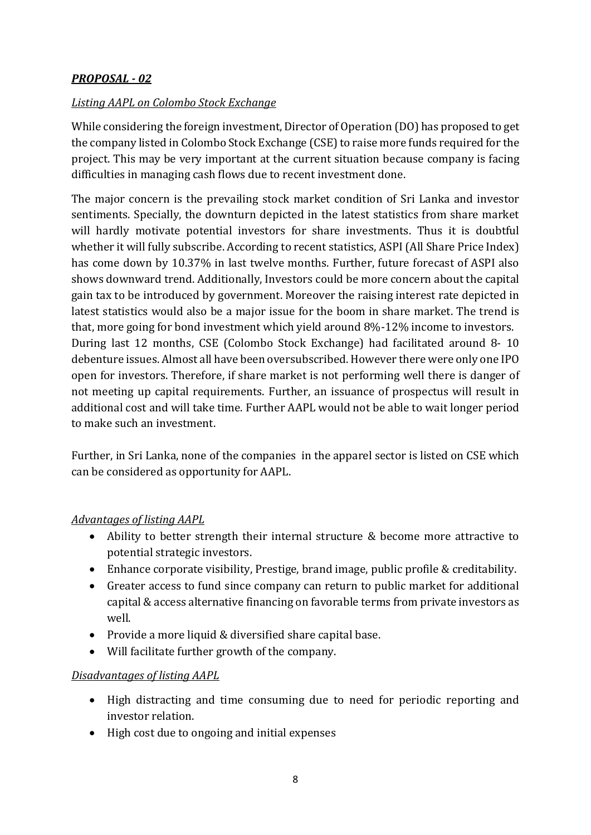# *PROPOSAL - 02*

#### *Listing AAPL on Colombo Stock Exchange*

While considering the foreign investment, Director of Operation (DO) has proposed to get the company listed in Colombo Stock Exchange (CSE) to raise more funds required for the project. This may be very important at the current situation because company is facing difficulties in managing cash flows due to recent investment done.

The major concern is the prevailing stock market condition of Sri Lanka and investor sentiments. Specially, the downturn depicted in the latest statistics from share market will hardly motivate potential investors for share investments. Thus it is doubtful whether it will fully subscribe. According to recent statistics, ASPI (All Share Price Index) has come down by 10.37% in last twelve months. Further, future forecast of ASPI also shows downward trend. Additionally, Investors could be more concern about the capital gain tax to be introduced by government. Moreover the raising interest rate depicted in latest statistics would also be a major issue for the boom in share market. The trend is that, more going for bond investment which yield around 8%-12% income to investors. During last 12 months, CSE (Colombo Stock Exchange) had facilitated around 8- 10 debenture issues. Almost all have been oversubscribed. However there were only one IPO open for investors. Therefore, if share market is not performing well there is danger of not meeting up capital requirements. Further, an issuance of prospectus will result in additional cost and will take time. Further AAPL would not be able to wait longer period to make such an investment.

Further, in Sri Lanka, none of the companies in the apparel sector is listed on CSE which can be considered as opportunity for AAPL.

#### *Advantages of listing AAPL*

- Ability to better strength their internal structure & become more attractive to potential strategic investors.
- Enhance corporate visibility, Prestige, brand image, public profile & creditability.
- Greater access to fund since company can return to public market for additional capital & access alternative financing on favorable terms from private investors as well.
- Provide a more liquid & diversified share capital base.
- Will facilitate further growth of the company.

#### *Disadvantages of listing AAPL*

- High distracting and time consuming due to need for periodic reporting and investor relation.
- High cost due to ongoing and initial expenses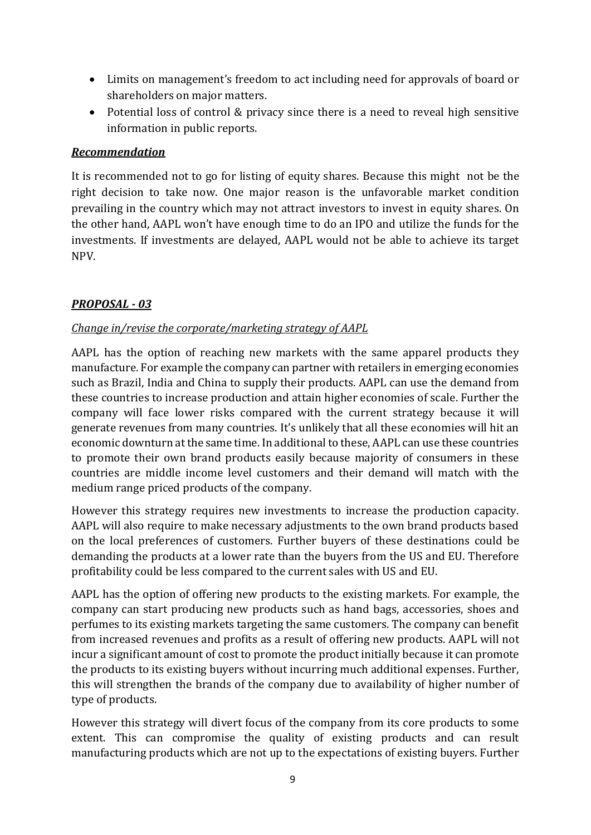- Limits on management's freedom to act including need for approvals of board or shareholders on major matters.
- Potential loss of control & privacy since there is a need to reveal high sensitive information in public reports.

#### *Recommendation*

It is recommended not to go for listing of equity shares. Because this might not be the right decision to take now. One major reason is the unfavorable market condition prevailing in the country which may not attract investors to invest in equity shares. On the other hand, AAPL won't have enough time to do an IPO and utilize the funds for the investments. If investments are delayed, AAPL would not be able to achieve its target NPV.

# *PROPOSAL - 03*

# *Change in/revise the corporate/marketing strategy of AAPL*

AAPL has the option of reaching new markets with the same apparel products they manufacture. For example the company can partner with retailers in emerging economies such as Brazil, India and China to supply their products. AAPL can use the demand from these countries to increase production and attain higher economies of scale. Further the company will face lower risks compared with the current strategy because it will generate revenues from many countries. It's unlikely that all these economies will hit an economic downturn at the same time. In additional to these, AAPL can use these countries to promote their own brand products easily because majority of consumers in these countries are middle income level customers and their demand will match with the medium range priced products of the company.

However this strategy requires new investments to increase the production capacity. AAPL will also require to make necessary adjustments to the own brand products based on the local preferences of customers. Further buyers of these destinations could be demanding the products at a lower rate than the buyers from the US and EU. Therefore profitability could be less compared to the current sales with US and EU.

AAPL has the option of offering new products to the existing markets. For example, the company can start producing new products such as hand bags, accessories, shoes and perfumes to its existing markets targeting the same customers. The company can benefit from increased revenues and profits as a result of offering new products. AAPL will not incur a significant amount of cost to promote the product initially because it can promote the products to its existing buyers without incurring much additional expenses. Further, this will strengthen the brands of the company due to availability of higher number of type of products.

However this strategy will divert focus of the company from its core products to some extent. This can compromise the quality of existing products and can result manufacturing products which are not up to the expectations of existing buyers. Further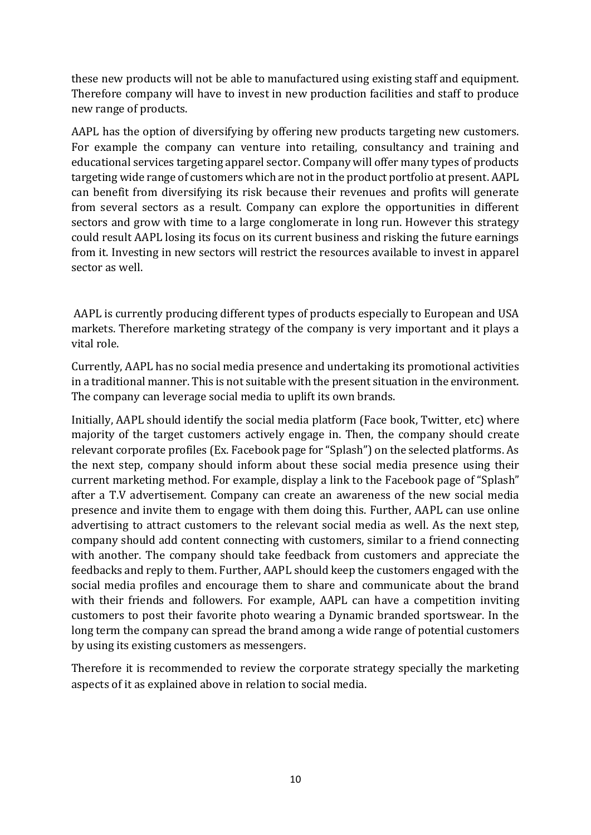these new products will not be able to manufactured using existing staff and equipment. Therefore company will have to invest in new production facilities and staff to produce new range of products.

AAPL has the option of diversifying by offering new products targeting new customers. For example the company can venture into retailing, consultancy and training and educational services targeting apparel sector. Company will offer many types of products targeting wide range of customers which are not in the product portfolio at present. AAPL can benefit from diversifying its risk because their revenues and profits will generate from several sectors as a result. Company can explore the opportunities in different sectors and grow with time to a large conglomerate in long run. However this strategy could result AAPL losing its focus on its current business and risking the future earnings from it. Investing in new sectors will restrict the resources available to invest in apparel sector as well.

AAPL is currently producing different types of products especially to European and USA markets. Therefore marketing strategy of the company is very important and it plays a vital role.

Currently, AAPL has no social media presence and undertaking its promotional activities in a traditional manner. This is not suitable with the present situation in the environment. The company can leverage social media to uplift its own brands.

Initially, AAPL should identify the social media platform (Face book, Twitter, etc) where majority of the target customers actively engage in. Then, the company should create relevant corporate profiles (Ex. Facebook page for "Splash") on the selected platforms. As the next step, company should inform about these social media presence using their current marketing method. For example, display a link to the Facebook page of "Splash" after a T.V advertisement. Company can create an awareness of the new social media presence and invite them to engage with them doing this. Further, AAPL can use online advertising to attract customers to the relevant social media as well. As the next step, company should add content connecting with customers, similar to a friend connecting with another. The company should take feedback from customers and appreciate the feedbacks and reply to them. Further, AAPL should keep the customers engaged with the social media profiles and encourage them to share and communicate about the brand with their friends and followers. For example, AAPL can have a competition inviting customers to post their favorite photo wearing a Dynamic branded sportswear. In the long term the company can spread the brand among a wide range of potential customers by using its existing customers as messengers.

Therefore it is recommended to review the corporate strategy specially the marketing aspects of it as explained above in relation to social media.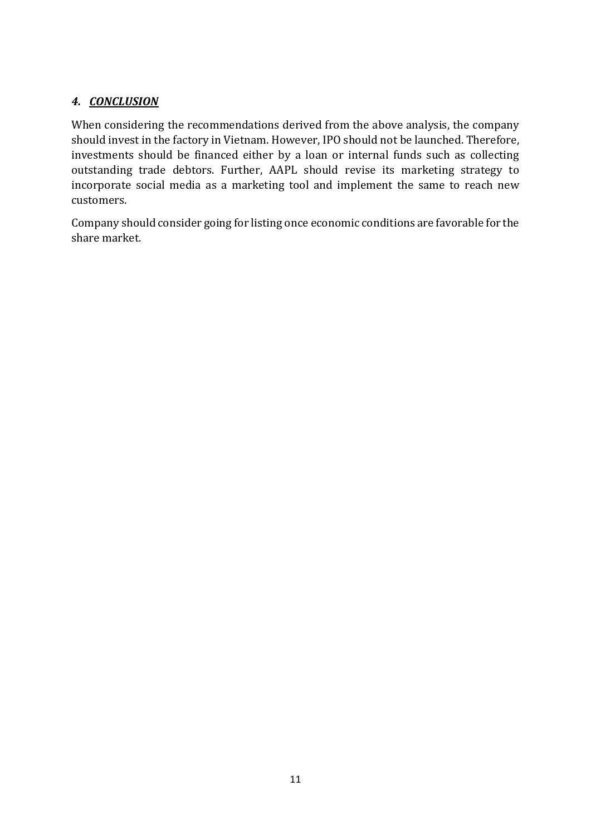# *4. CONCLUSION*

When considering the recommendations derived from the above analysis, the company should invest in the factory in Vietnam. However, IPO should not be launched. Therefore, investments should be financed either by a loan or internal funds such as collecting outstanding trade debtors. Further, AAPL should revise its marketing strategy to incorporate social media as a marketing tool and implement the same to reach new customers.

Company should consider going for listing once economic conditions are favorable for the share market.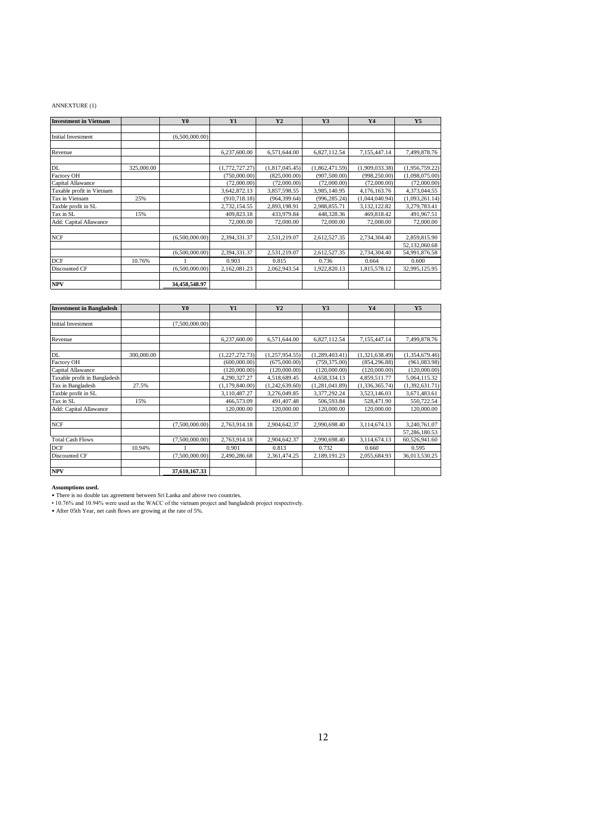#### ANNEXTURE (1)

| <b>Investment in Vietnam</b> |            | Y <sub>0</sub> | <b>Y1</b>      | Y2             | Y3             | Y4             | <b>Y5</b>      |
|------------------------------|------------|----------------|----------------|----------------|----------------|----------------|----------------|
|                              |            |                |                |                |                |                |                |
| <b>Initial Investment</b>    |            | (6,500,000.00) |                |                |                |                |                |
|                              |            |                |                |                |                |                |                |
| Revenue                      |            |                | 6,237,600.00   | 6,571,644.00   | 6,827,112.54   | 7,155,447.14   | 7,499,878.76   |
|                              |            |                |                |                |                |                |                |
| DL                           | 325,000.00 |                | (1,772,727.27) | (1,817,045.45) | (1,862,471.59) | (1,909,033.38) | (1,956,759.22) |
| Factory OH                   |            |                | (750,000.00)   | (825,000.00)   | (907, 500.00)  | (998, 250.00)  | (1,098,075.00) |
| Capital Allawance            |            |                | (72,000.00)    | (72,000.00)    | (72,000.00)    | (72,000.00)    | (72,000.00)    |
| Taxable profit in Vietnam    |            |                | 3,642,872.13   | 3,857,598.55   | 3,985,140.95   | 4,176,163.76   | 4,373,044.55   |
| Tax in Vietnam               | 25%        |                | (910, 718.18)  | (964, 399.64)  | (996, 285.24)  | (1,044,040.94) | (1,093,261.14) |
| Taxble profit in SL          |            |                | 2,732,154.55   | 2,893,198.91   | 2,988,855.71   | 3,132,122.82   | 3,279,783.41   |
| Tax in SL                    | 15%        |                | 409,823.18     | 433,979.84     | 448,328.36     | 469,818.42     | 491,967.51     |
| Add: Capital Allawance       |            |                | 72,000.00      | 72,000.00      | 72,000.00      | 72,000.00      | 72,000.00      |
|                              |            |                |                |                |                |                |                |
| <b>NCF</b>                   |            | (6,500,000.00) | 2,394,331.37   | 2,531,219.07   | 2,612,527.35   | 2,734,304.40   | 2,859,815.90   |
|                              |            |                |                |                |                |                | 52,132,060.68  |
|                              |            | (6,500,000.00) | 2,394,331.37   | 2,531,219.07   | 2,612,527.35   | 2,734,304.40   | 54,991,876.58  |
| <b>DCF</b>                   | 10.76%     |                | 0.903          | 0.815          | 0.736          | 0.664          | 0.600          |
| Discounted CF                |            | (6,500,000.00) | 2,162,081.23   | 2,062,943.54   | 1,922,820.13   | 1,815,578.12   | 32,995,125.95  |
|                              |            |                |                |                |                |                |                |
| <b>NPV</b>                   |            | 34,458,548.97  |                |                |                |                |                |

| <b>Investment in Bangladesh</b> |            | Y <sub>0</sub> | <b>Y1</b>      | Y <sub>2</sub> | Y3             | <b>Y4</b>      | Y5             |
|---------------------------------|------------|----------------|----------------|----------------|----------------|----------------|----------------|
|                                 |            |                |                |                |                |                |                |
| <b>Initial Investment</b>       |            | (7,500,000.00) |                |                |                |                |                |
|                                 |            |                |                |                |                |                |                |
| Revenue                         |            |                | 6,237,600.00   | 6,571,644.00   | 6,827,112.54   | 7,155,447.14   | 7,499,878.76   |
|                                 |            |                |                |                |                |                |                |
| DL                              | 300,000.00 |                | (1,227,272.73) | (1,257,954.55) | (1,289,403.41) | (1,321,638.49) | (1,354,679.46) |
| Factory OH                      |            |                | (600,000.00)   | (675,000.00)   | (759, 375.00)  | (854, 296.88)  | (961,083.98)   |
| Capital Allawance               |            |                | (120,000.00)   | (120,000.00)   | (120,000.00)   | (120,000.00)   | (120,000.00)   |
| Taxable profit in Bangladesh    |            |                | 4,290,327.27   | 4,518,689.45   | 4,658,334.13   | 4,859,511.77   | 5,064,115.32   |
| Tax in Bangladesh               | 27.5%      |                | (1,179,840.00) | (1,242,639.60) | (1,281,041.89) | (1,336,365.74) | (1,392,631.71) |
| Taxble profit in SL             |            |                | 3,110,487.27   | 3,276,049.85   | 3,377,292.24   | 3,523,146.03   | 3,671,483.61   |
| Tax in SL                       | 15%        |                | 466,573.09     | 491,407.48     | 506,593.84     | 528,471.90     | 550,722.54     |
| Add: Capital Allawance          |            |                | 120,000.00     | 120,000.00     | 120,000.00     | 120,000.00     | 120,000.00     |
|                                 |            |                |                |                |                |                |                |
| NCF                             |            | (7,500,000.00) | 2,763,914.18   | 2,904,642.37   | 2,990,698.40   | 3,114,674.13   | 3,240,761.07   |
|                                 |            |                |                |                |                |                | 57,286,180.53  |
| <b>Total Cash Flows</b>         |            | (7,500,000.00) | 2,763,914.18   | 2,904,642.37   | 2,990,698.40   | 3,114,674.13   | 60,526,941.60  |
| <b>DCF</b>                      | 10.94%     |                | 0.901          | 0.813          | 0.732          | 0.660          | 0.595          |
| Discounted CF                   |            | (7,500,000.00) | 2,490,286.68   | 2,361,474.25   | 2,189,191.23   | 2,055,684.93   | 36,013,530.25  |
|                                 |            |                |                |                |                |                |                |
| <b>NPV</b>                      |            | 37,610,167.33  |                |                |                |                |                |

**Assumptions used.**<br>• There is no double tax agreement between Sri Lanka and above two countries.<br>• 10.76% and 10.94% were used as the WACC of the vietnam project and bangladesh project respectively.<br>• After 05th Year, net